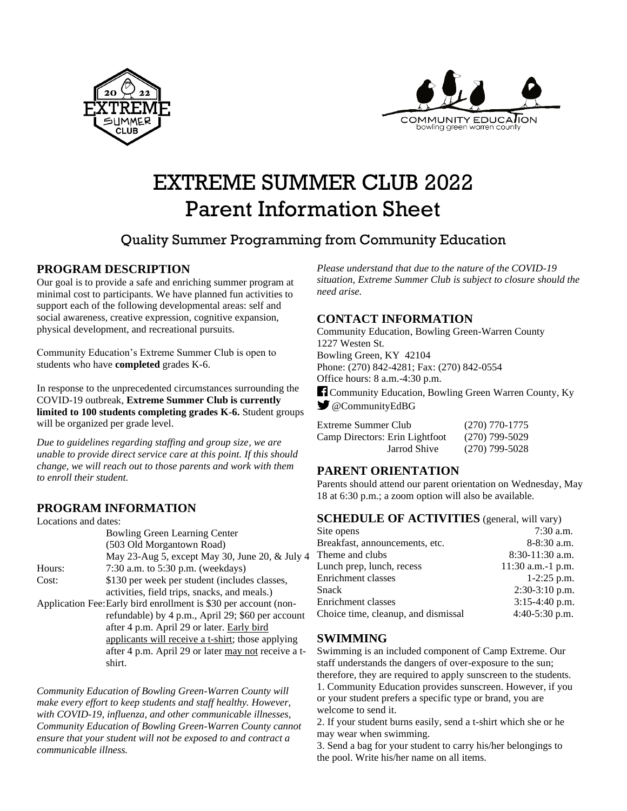



# EXTREME SUMMER CLUB 2022 Parent Information Sheet

# Quality Summer Programming from Community Education

#### **PROGRAM DESCRIPTION**

Our goal is to provide a safe and enriching summer program at minimal cost to participants. We have planned fun activities to support each of the following developmental areas: self and social awareness, creative expression, cognitive expansion, physical development, and recreational pursuits.

Community Education's Extreme Summer Club is open to students who have **completed** grades K-6.

In response to the unprecedented circumstances surrounding the COVID-19 outbreak, **Extreme Summer Club is currently limited to 100 students completing grades K-6.** Student groups will be organized per grade level.

*Due to guidelines regarding staffing and group size, we are unable to provide direct service care at this point. If this should change, we will reach out to those parents and work with them to enroll their student.* 

#### **PROGRAM INFORMATION**

| Locations and dates:                                             |                                                     |  |
|------------------------------------------------------------------|-----------------------------------------------------|--|
|                                                                  | <b>Bowling Green Learning Center</b>                |  |
|                                                                  | (503 Old Morgantown Road)                           |  |
|                                                                  | May 23-Aug 5, except May 30, June 20, & July 4      |  |
| Hours:                                                           | 7:30 a.m. to $5:30$ p.m. (weekdays)                 |  |
| Cost:                                                            | \$130 per week per student (includes classes,       |  |
|                                                                  | activities, field trips, snacks, and meals.)        |  |
| Application Fee: Early bird enrollment is \$30 per account (non- |                                                     |  |
|                                                                  | refundable) by 4 p.m., April 29; \$60 per account   |  |
|                                                                  | after 4 p.m. April 29 or later. Early bird          |  |
|                                                                  | applicants will receive a t-shirt; those applying   |  |
|                                                                  | after 4 p.m. April 29 or later may not receive a t- |  |
|                                                                  | shirt.                                              |  |
|                                                                  |                                                     |  |

*Community Education of Bowling Green-Warren County will make every effort to keep students and staff healthy. However, with COVID-19, influenza, and other communicable illnesses, Community Education of Bowling Green-Warren County cannot ensure that your student will not be exposed to and contract a communicable illness.*

*Please understand that due to the nature of the COVID-19 situation, Extreme Summer Club is subject to closure should the need arise.*

#### **CONTACT INFORMATION**

Community Education, Bowling Green-Warren County 1227 Westen St. Bowling Green, KY 42104 Phone: (270) 842-4281; Fax: (270) 842-0554 Office hours: 8 a.m.-4:30 p.m.

Community Education, Bowling Green Warren County, Ky @CommunityEdBG

| Extreme Summer Club            | $(270)$ 770-1775 |
|--------------------------------|------------------|
| Camp Directors: Erin Lightfoot | $(270)$ 799-5029 |
| Jarrod Shive                   | $(270)$ 799-5028 |

#### **PARENT ORIENTATION**

Parents should attend our parent orientation on Wednesday, May 18 at 6:30 p.m.; a zoom option will also be available.

#### **SCHEDULE OF ACTIVITIES** (general, will vary)

| $7:30$ a.m.         |
|---------------------|
| 8-8:30 a.m.         |
| $8:30-11:30$ a.m.   |
| $11:30$ a.m.-1 p.m. |
| $1-2:25$ p.m.       |
| $2:30-3:10$ p.m.    |
| $3:15-4:40$ p.m.    |
| 4:40-5:30 p.m.      |
|                     |

#### **SWIMMING**

Swimming is an included component of Camp Extreme. Our staff understands the dangers of over-exposure to the sun; therefore, they are required to apply sunscreen to the students. 1. Community Education provides sunscreen. However, if you or your student prefers a specific type or brand, you are welcome to send it.

2. If your student burns easily, send a t-shirt which she or he may wear when swimming.

3. Send a bag for your student to carry his/her belongings to the pool. Write his/her name on all items.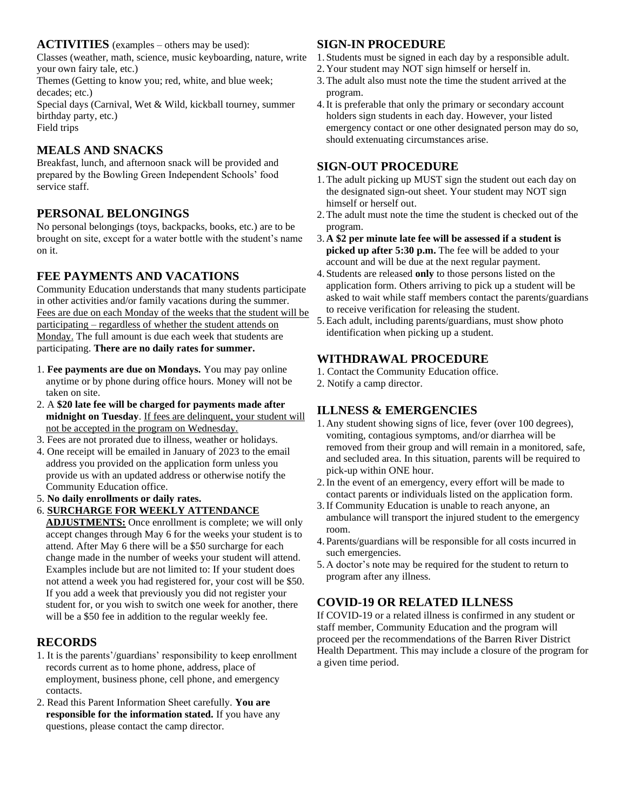#### **ACTIVITIES** (examples – others may be used):

Classes (weather, math, science, music keyboarding, nature, write your own fairy tale, etc.)

Themes (Getting to know you; red, white, and blue week; decades; etc.)

Special days (Carnival, Wet & Wild, kickball tourney, summer birthday party, etc.) Field trips

#### **MEALS AND SNACKS**

Breakfast, lunch, and afternoon snack will be provided and prepared by the Bowling Green Independent Schools' food service staff.

#### **PERSONAL BELONGINGS**

No personal belongings (toys, backpacks, books, etc.) are to be brought on site, except for a water bottle with the student's name on it.

#### **FEE PAYMENTS AND VACATIONS**

Community Education understands that many students participate in other activities and/or family vacations during the summer. Fees are due on each Monday of the weeks that the student will be participating – regardless of whether the student attends on Monday. The full amount is due each week that students are participating. **There are no daily rates for summer.**

- 1. **Fee payments are due on Mondays.** You may pay online anytime or by phone during office hours. Money will not be taken on site.
- 2. A **\$20 late fee will be charged for payments made after midnight on Tuesday**. If fees are delinquent, your student will not be accepted in the program on Wednesday.
- 3. Fees are not prorated due to illness, weather or holidays.
- 4. One receipt will be emailed in January of 2023 to the email address you provided on the application form unless you provide us with an updated address or otherwise notify the Community Education office.
- 5. **No daily enrollments or daily rates.**
- 6. **SURCHARGE FOR WEEKLY ATTENDANCE**

**ADJUSTMENTS:** Once enrollment is complete; we will only accept changes through May 6 for the weeks your student is to attend. After May 6 there will be a \$50 surcharge for each change made in the number of weeks your student will attend. Examples include but are not limited to: If your student does not attend a week you had registered for, your cost will be \$50. If you add a week that previously you did not register your student for, or you wish to switch one week for another, there will be a \$50 fee in addition to the regular weekly fee.

#### **RECORDS**

- 1. It is the parents'/guardians' responsibility to keep enrollment records current as to home phone, address, place of employment, business phone, cell phone, and emergency contacts.
- 2. Read this Parent Information Sheet carefully. **You are responsible for the information stated.** If you have any questions, please contact the camp director.

#### **SIGN-IN PROCEDURE**

- 1. Students must be signed in each day by a responsible adult.
- 2. Your student may NOT sign himself or herself in.
- 3.The adult also must note the time the student arrived at the program.
- 4.It is preferable that only the primary or secondary account holders sign students in each day. However, your listed emergency contact or one other designated person may do so, should extenuating circumstances arise.

#### **SIGN-OUT PROCEDURE**

- 1.The adult picking up MUST sign the student out each day on the designated sign-out sheet. Your student may NOT sign himself or herself out.
- 2.The adult must note the time the student is checked out of the program.
- 3. **A \$2 per minute late fee will be assessed if a student is picked up after 5:30 p.m.** The fee will be added to your account and will be due at the next regular payment.
- 4. Students are released **only** to those persons listed on the application form. Others arriving to pick up a student will be asked to wait while staff members contact the parents/guardians to receive verification for releasing the student.
- 5.Each adult, including parents/guardians, must show photo identification when picking up a student.

#### **WITHDRAWAL PROCEDURE**

- 1. Contact the Community Education office.
- 2. Notify a camp director.

### **ILLNESS & EMERGENCIES**

- 1. Any student showing signs of lice, fever (over 100 degrees), vomiting, contagious symptoms, and/or diarrhea will be removed from their group and will remain in a monitored, safe, and secluded area. In this situation, parents will be required to pick-up within ONE hour.
- 2.In the event of an emergency, every effort will be made to contact parents or individuals listed on the application form.
- 3.If Community Education is unable to reach anyone, an ambulance will transport the injured student to the emergency room.
- 4. Parents/guardians will be responsible for all costs incurred in such emergencies.
- 5. A doctor's note may be required for the student to return to program after any illness.

## **COVID-19 OR RELATED ILLNESS**

If COVID-19 or a related illness is confirmed in any student or staff member, Community Education and the program will proceed per the recommendations of the Barren River District Health Department. This may include a closure of the program for a given time period.